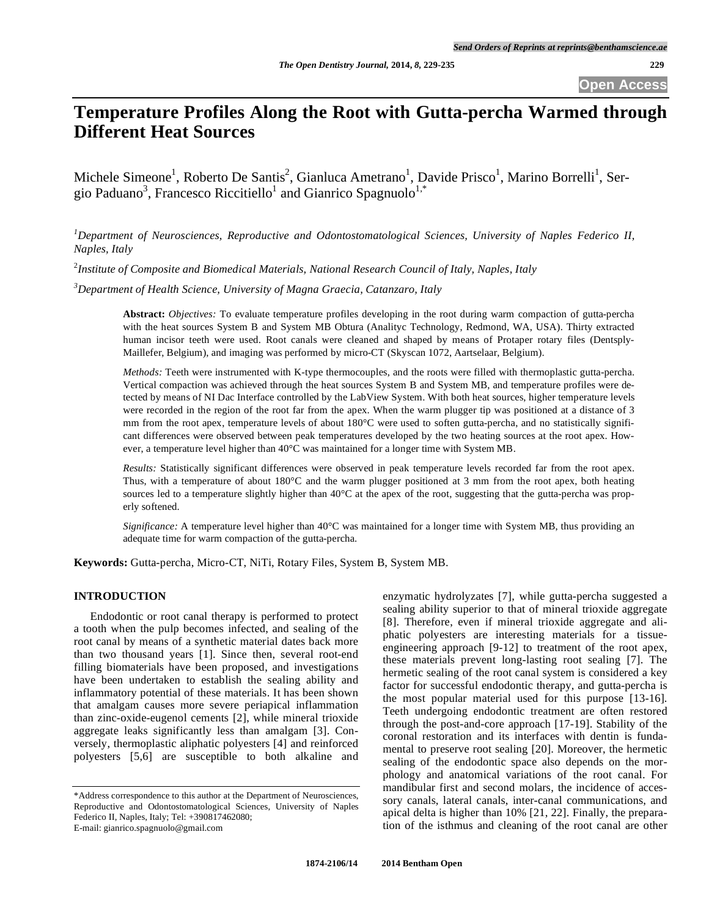**Open Access** 

# **Temperature Profiles Along the Root with Gutta-percha Warmed through Different Heat Sources**

Michele Simeone<sup>1</sup>, Roberto De Santis<sup>2</sup>, Gianluca Ametrano<sup>1</sup>, Davide Prisco<sup>1</sup>, Marino Borrelli<sup>1</sup>, Sergio Paduano<sup>3</sup>, Francesco Riccitiello<sup>1</sup> and Gianrico Spagnuolo<sup>1,\*</sup>

*1 Department of Neurosciences, Reproductive and Odontostomatological Sciences, University of Naples Federico II, Naples, Italy*

2 *Institute of Composite and Biomedical Materials, National Research Council of Italy, Naples, Italy*

*3 Department of Health Science, University of Magna Graecia, Catanzaro, Italy* 

**Abstract:** *Objectives:* To evaluate temperature profiles developing in the root during warm compaction of gutta-percha with the heat sources System B and System MB Obtura (Analityc Technology, Redmond, WA, USA). Thirty extracted human incisor teeth were used. Root canals were cleaned and shaped by means of Protaper rotary files (Dentsply-Maillefer, Belgium), and imaging was performed by micro-CT (Skyscan 1072, Aartselaar, Belgium).

*Methods:* Teeth were instrumented with K-type thermocouples, and the roots were filled with thermoplastic gutta-percha. Vertical compaction was achieved through the heat sources System B and System MB, and temperature profiles were detected by means of NI Dac Interface controlled by the LabView System. With both heat sources, higher temperature levels were recorded in the region of the root far from the apex. When the warm plugger tip was positioned at a distance of 3 mm from the root apex, temperature levels of about 180°C were used to soften gutta-percha, and no statistically significant differences were observed between peak temperatures developed by the two heating sources at the root apex. However, a temperature level higher than 40°C was maintained for a longer time with System MB.

*Results:* Statistically significant differences were observed in peak temperature levels recorded far from the root apex. Thus, with a temperature of about 180°C and the warm plugger positioned at 3 mm from the root apex, both heating sources led to a temperature slightly higher than 40°C at the apex of the root, suggesting that the gutta-percha was properly softened.

*Significance:* A temperature level higher than 40°C was maintained for a longer time with System MB, thus providing an adequate time for warm compaction of the gutta-percha.

**Keywords:** Gutta-percha, Micro-CT, NiTi, Rotary Files, System B, System MB.

## **INTRODUCTION**

Endodontic or root canal therapy is performed to protect a tooth when the pulp becomes infected, and sealing of the root canal by means of a synthetic material dates back more than two thousand years [1]. Since then, several root-end filling biomaterials have been proposed, and investigations have been undertaken to establish the sealing ability and inflammatory potential of these materials. It has been shown that amalgam causes more severe periapical inflammation than zinc-oxide-eugenol cements [2], while mineral trioxide aggregate leaks significantly less than amalgam [3]. Conversely, thermoplastic aliphatic polyesters [4] and reinforced polyesters [5,6] are susceptible to both alkaline and

enzymatic hydrolyzates [7], while gutta-percha suggested a sealing ability superior to that of mineral trioxide aggregate [8]. Therefore, even if mineral trioxide aggregate and aliphatic polyesters are interesting materials for a tissueengineering approach [9-12] to treatment of the root apex, these materials prevent long-lasting root sealing [7]. The hermetic sealing of the root canal system is considered a key factor for successful endodontic therapy, and gutta-percha is the most popular material used for this purpose [13-16]. Teeth undergoing endodontic treatment are often restored through the post-and-core approach [17-19]. Stability of the coronal restoration and its interfaces with dentin is fundamental to preserve root sealing [20]. Moreover, the hermetic sealing of the endodontic space also depends on the morphology and anatomical variations of the root canal. For mandibular first and second molars, the incidence of accessory canals, lateral canals, inter-canal communications, and apical delta is higher than 10% [21, 22]. Finally, the preparation of the isthmus and cleaning of the root canal are other

<sup>\*</sup>Address correspondence to this author at the Department of Neurosciences, Reproductive and Odontostomatological Sciences, University of Naples Federico II, Naples, Italy; Tel: +390817462080; E-mail: gianrico.spagnuolo@gmail.com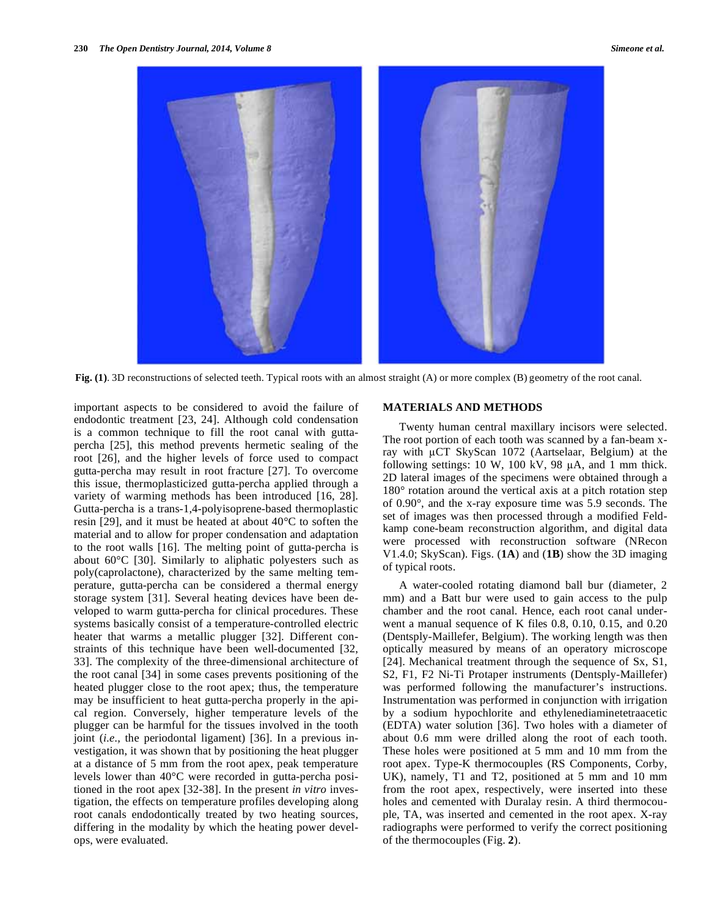

**Fig. (1)**. 3D reconstructions of selected teeth. Typical roots with an almost straight (A) or more complex (B) geometry of the root canal.

important aspects to be considered to avoid the failure of endodontic treatment [23, 24]. Although cold condensation is a common technique to fill the root canal with guttapercha [25], this method prevents hermetic sealing of the root [26], and the higher levels of force used to compact gutta-percha may result in root fracture [27]. To overcome this issue, thermoplasticized gutta-percha applied through a variety of warming methods has been introduced [16, 28]. Gutta-percha is a trans-1,4-polyisoprene-based thermoplastic resin [29], and it must be heated at about 40°C to soften the material and to allow for proper condensation and adaptation to the root walls [16]. The melting point of gutta-percha is about 60°C [30]. Similarly to aliphatic polyesters such as poly(caprolactone), characterized by the same melting temperature, gutta-percha can be considered a thermal energy storage system [31]. Several heating devices have been developed to warm gutta-percha for clinical procedures. These systems basically consist of a temperature-controlled electric heater that warms a metallic plugger [32]. Different constraints of this technique have been well-documented [32, 33]. The complexity of the three-dimensional architecture of the root canal [34] in some cases prevents positioning of the heated plugger close to the root apex; thus, the temperature may be insufficient to heat gutta-percha properly in the apical region. Conversely, higher temperature levels of the plugger can be harmful for the tissues involved in the tooth joint (*i.e.,* the periodontal ligament) [36]. In a previous investigation, it was shown that by positioning the heat plugger at a distance of 5 mm from the root apex, peak temperature levels lower than 40°C were recorded in gutta-percha positioned in the root apex [32-38]. In the present *in vitro* investigation, the effects on temperature profiles developing along root canals endodontically treated by two heating sources, differing in the modality by which the heating power develops, were evaluated.

## **MATERIALS AND METHODS**

Twenty human central maxillary incisors were selected. The root portion of each tooth was scanned by a fan-beam xray with  $\mu$ CT SkyScan 1072 (Aartselaar, Belgium) at the following settings:  $10 \text{ W}$ ,  $100 \text{ kV}$ ,  $98 \mu$ A, and 1 mm thick. 2D lateral images of the specimens were obtained through a 180° rotation around the vertical axis at a pitch rotation step of 0.90°, and the x-ray exposure time was 5.9 seconds. The set of images was then processed through a modified Feldkamp cone-beam reconstruction algorithm, and digital data were processed with reconstruction software (NRecon V1.4.0; SkyScan). Figs. (**1A**) and (**1B**) show the 3D imaging of typical roots.

A water-cooled rotating diamond ball bur (diameter, 2 mm) and a Batt bur were used to gain access to the pulp chamber and the root canal. Hence, each root canal underwent a manual sequence of K files 0.8, 0.10, 0.15, and 0.20 (Dentsply-Maillefer, Belgium). The working length was then optically measured by means of an operatory microscope [24]. Mechanical treatment through the sequence of Sx, S1, S2, F1, F2 Ni-Ti Protaper instruments (Dentsply-Maillefer) was performed following the manufacturer's instructions. Instrumentation was performed in conjunction with irrigation by a sodium hypochlorite and ethylenediaminetetraacetic (EDTA) water solution [36]. Two holes with a diameter of about 0.6 mm were drilled along the root of each tooth. These holes were positioned at 5 mm and 10 mm from the root apex. Type-K thermocouples (RS Components, Corby, UK), namely, T1 and T2, positioned at 5 mm and 10 mm from the root apex, respectively, were inserted into these holes and cemented with Duralay resin. A third thermocouple, TA, was inserted and cemented in the root apex. X-ray radiographs were performed to verify the correct positioning of the thermocouples (Fig. **2**).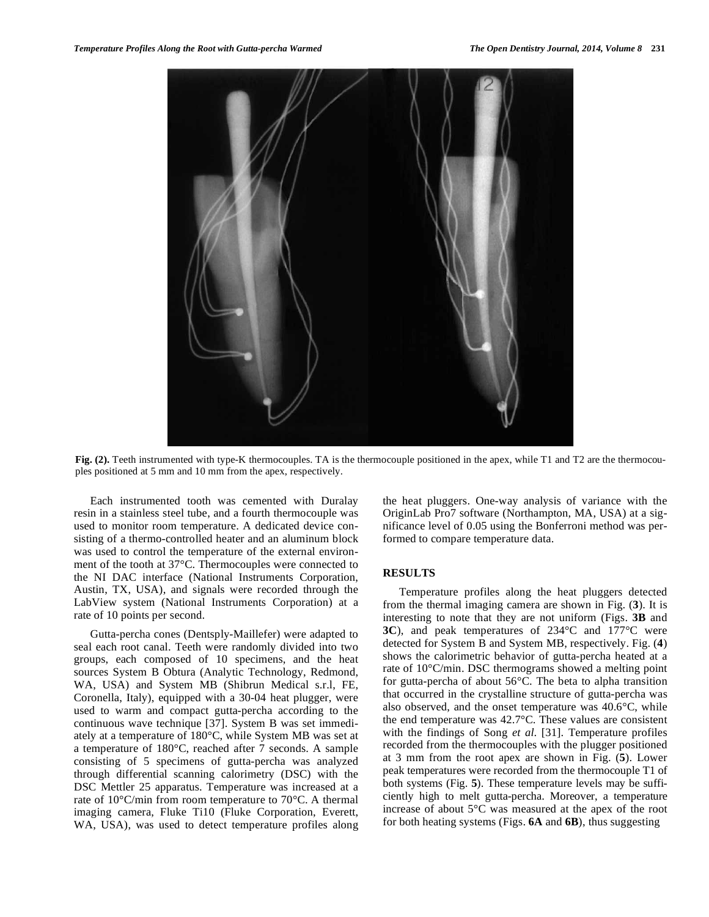

**Fig. (2).** Teeth instrumented with type-K thermocouples. TA is the thermocouple positioned in the apex, while T1 and T2 are the thermocouples positioned at 5 mm and 10 mm from the apex, respectively.

Each instrumented tooth was cemented with Duralay resin in a stainless steel tube, and a fourth thermocouple was used to monitor room temperature. A dedicated device consisting of a thermo-controlled heater and an aluminum block was used to control the temperature of the external environment of the tooth at 37°C. Thermocouples were connected to the NI DAC interface (National Instruments Corporation, Austin, TX, USA), and signals were recorded through the LabView system (National Instruments Corporation) at a rate of 10 points per second.

Gutta-percha cones (Dentsply-Maillefer) were adapted to seal each root canal. Teeth were randomly divided into two groups, each composed of 10 specimens, and the heat sources System B Obtura (Analytic Technology, Redmond, WA, USA) and System MB (Shibrun Medical s.r.l, FE, Coronella, Italy), equipped with a 30-04 heat plugger, were used to warm and compact gutta-percha according to the continuous wave technique [37]. System B was set immediately at a temperature of 180°C, while System MB was set at a temperature of 180°C, reached after 7 seconds. A sample consisting of 5 specimens of gutta-percha was analyzed through differential scanning calorimetry (DSC) with the DSC Mettler 25 apparatus. Temperature was increased at a rate of 10°C/min from room temperature to 70°C. A thermal imaging camera, Fluke Ti10 (Fluke Corporation, Everett, WA, USA), was used to detect temperature profiles along

the heat pluggers. One-way analysis of variance with the OriginLab Pro7 software (Northampton, MA, USA) at a significance level of 0.05 using the Bonferroni method was performed to compare temperature data.

## **RESULTS**

Temperature profiles along the heat pluggers detected from the thermal imaging camera are shown in Fig. (**3**). It is interesting to note that they are not uniform (Figs. **3B** and **3C**), and peak temperatures of 234°C and 177°C were detected for System B and System MB, respectively. Fig. (**4**) shows the calorimetric behavior of gutta-percha heated at a rate of 10°C/min. DSC thermograms showed a melting point for gutta-percha of about 56°C. The beta to alpha transition that occurred in the crystalline structure of gutta-percha was also observed, and the onset temperature was 40.6°C, while the end temperature was 42.7°C. These values are consistent with the findings of Song *et al*. [31]. Temperature profiles recorded from the thermocouples with the plugger positioned at 3 mm from the root apex are shown in Fig. (**5**). Lower peak temperatures were recorded from the thermocouple T1 of both systems (Fig. **5**). These temperature levels may be sufficiently high to melt gutta-percha. Moreover, a temperature increase of about 5°C was measured at the apex of the root for both heating systems (Figs. **6A** and **6B**), thus suggesting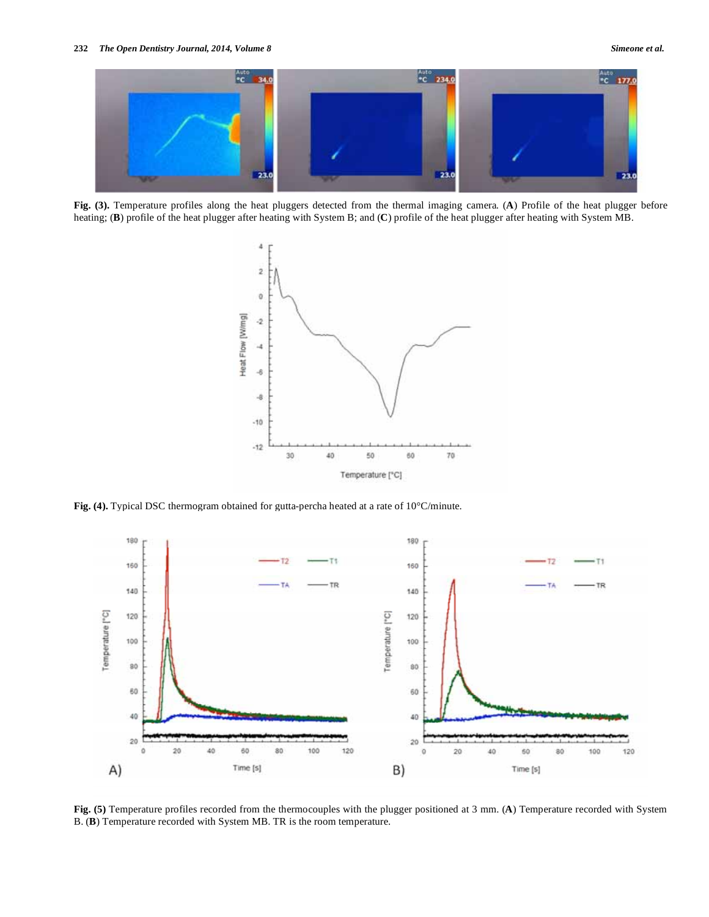

**Fig. (3).** Temperature profiles along the heat pluggers detected from the thermal imaging camera. (**A**) Profile of the heat plugger before heating; (**B**) profile of the heat plugger after heating with System B; and (**C**) profile of the heat plugger after heating with System MB.



**Fig. (4).** Typical DSC thermogram obtained for gutta-percha heated at a rate of 10°C/minute.



**Fig. (5)** Temperature profiles recorded from the thermocouples with the plugger positioned at 3 mm. (**A**) Temperature recorded with System B. (**B**) Temperature recorded with System MB. TR is the room temperature.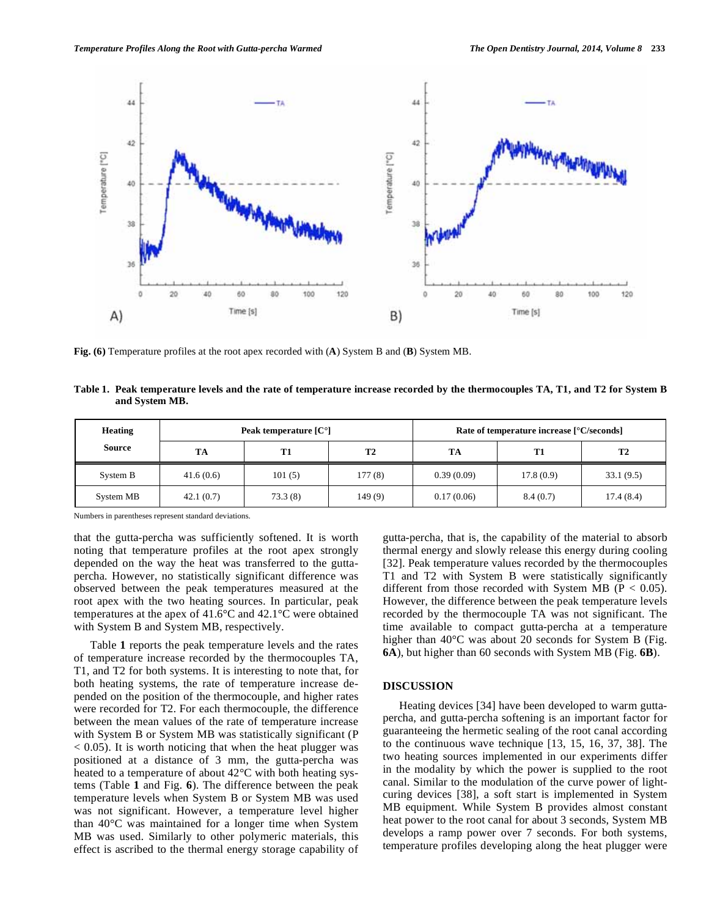

**Fig. (6)** Temperature profiles at the root apex recorded with (**A**) System B and (**B**) System MB.

**Table 1. Peak temperature levels and the rate of temperature increase recorded by the thermocouples TA, T1, and T2 for System B and System MB.** 

| <b>Heating</b><br>Source | Peak temperature $[C^{\circ}]$ |         |                | Rate of temperature increase [°C/seconds] |           |                |
|--------------------------|--------------------------------|---------|----------------|-------------------------------------------|-----------|----------------|
|                          | TА                             | T1      | T <sub>2</sub> | TA                                        | T1        | T <sub>2</sub> |
| System B                 | 41.6(0.6)                      | 101(5)  | 177(8)         | 0.39(0.09)                                | 17.8(0.9) | 33.1(9.5)      |
| System MB                | 42.1(0.7)                      | 73.3(8) | 149(9)         | 0.17(0.06)                                | 8.4(0.7)  | 17.4(8.4)      |

Numbers in parentheses represent standard deviations.

that the gutta-percha was sufficiently softened. It is worth noting that temperature profiles at the root apex strongly depended on the way the heat was transferred to the guttapercha. However, no statistically significant difference was observed between the peak temperatures measured at the root apex with the two heating sources. In particular, peak temperatures at the apex of 41.6°C and 42.1°C were obtained with System B and System MB, respectively.

Table **1** reports the peak temperature levels and the rates of temperature increase recorded by the thermocouples TA, T1, and T2 for both systems. It is interesting to note that, for both heating systems, the rate of temperature increase depended on the position of the thermocouple, and higher rates were recorded for T2. For each thermocouple, the difference between the mean values of the rate of temperature increase with System B or System MB was statistically significant (P  $< 0.05$ ). It is worth noticing that when the heat plugger was positioned at a distance of 3 mm, the gutta-percha was heated to a temperature of about 42°C with both heating systems (Table **1** and Fig. **6**). The difference between the peak temperature levels when System B or System MB was used was not significant. However, a temperature level higher than 40°C was maintained for a longer time when System MB was used. Similarly to other polymeric materials, this effect is ascribed to the thermal energy storage capability of gutta-percha, that is, the capability of the material to absorb thermal energy and slowly release this energy during cooling [32]. Peak temperature values recorded by the thermocouples T1 and T2 with System B were statistically significantly different from those recorded with System MB ( $P < 0.05$ ). However, the difference between the peak temperature levels recorded by the thermocouple TA was not significant. The time available to compact gutta-percha at a temperature higher than 40°C was about 20 seconds for System B (Fig. **6A**), but higher than 60 seconds with System MB (Fig. **6B**).

#### **DISCUSSION**

Heating devices [34] have been developed to warm guttapercha, and gutta-percha softening is an important factor for guaranteeing the hermetic sealing of the root canal according to the continuous wave technique [13, 15, 16, 37, 38]. The two heating sources implemented in our experiments differ in the modality by which the power is supplied to the root canal. Similar to the modulation of the curve power of lightcuring devices [38], a soft start is implemented in System MB equipment. While System B provides almost constant heat power to the root canal for about 3 seconds, System MB develops a ramp power over 7 seconds. For both systems, temperature profiles developing along the heat plugger were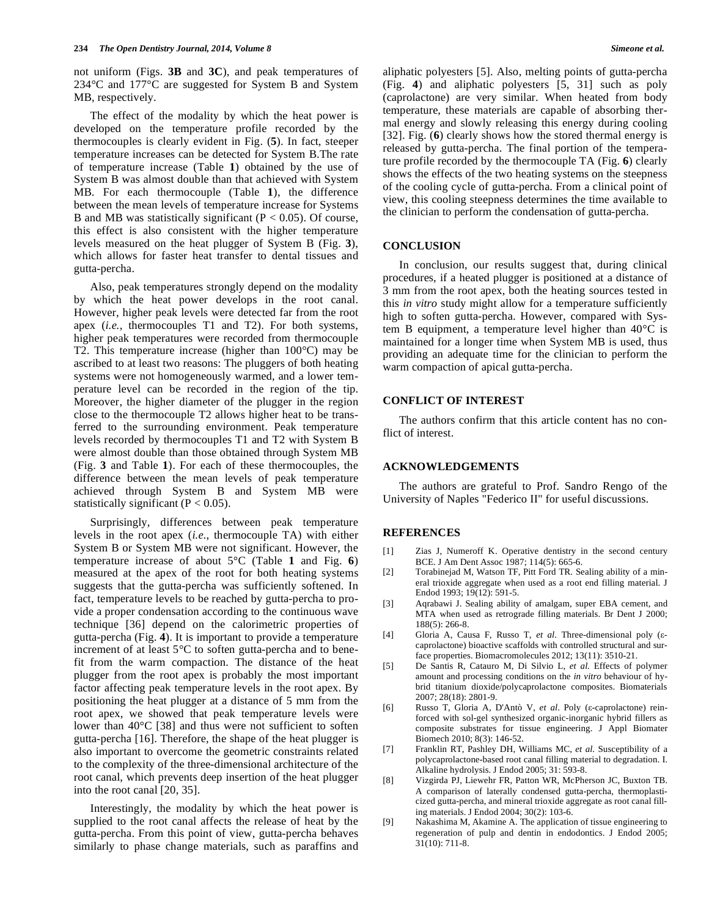not uniform (Figs. **3B** and **3C**), and peak temperatures of 234°C and 177°C are suggested for System B and System MB, respectively.

The effect of the modality by which the heat power is developed on the temperature profile recorded by the thermocouples is clearly evident in Fig. (**5**). In fact, steeper temperature increases can be detected for System B.The rate of temperature increase (Table **1**) obtained by the use of System B was almost double than that achieved with System MB. For each thermocouple (Table **1**), the difference between the mean levels of temperature increase for Systems B and MB was statistically significant ( $P < 0.05$ ). Of course, this effect is also consistent with the higher temperature levels measured on the heat plugger of System B (Fig. **3**), which allows for faster heat transfer to dental tissues and gutta-percha.

Also, peak temperatures strongly depend on the modality by which the heat power develops in the root canal. However, higher peak levels were detected far from the root apex (*i.e.,* thermocouples T1 and T2). For both systems, higher peak temperatures were recorded from thermocouple T2. This temperature increase (higher than 100°C) may be ascribed to at least two reasons: The pluggers of both heating systems were not homogeneously warmed, and a lower temperature level can be recorded in the region of the tip. Moreover, the higher diameter of the plugger in the region close to the thermocouple T2 allows higher heat to be transferred to the surrounding environment. Peak temperature levels recorded by thermocouples T1 and T2 with System B were almost double than those obtained through System MB (Fig. **3** and Table **1**). For each of these thermocouples, the difference between the mean levels of peak temperature achieved through System B and System MB were statistically significant ( $P < 0.05$ ).

Surprisingly, differences between peak temperature levels in the root apex (*i.e*., thermocouple TA) with either System B or System MB were not significant. However, the temperature increase of about 5°C (Table **1** and Fig. **6**) measured at the apex of the root for both heating systems suggests that the gutta-percha was sufficiently softened. In fact, temperature levels to be reached by gutta-percha to provide a proper condensation according to the continuous wave technique [36] depend on the calorimetric properties of gutta-percha (Fig. **4**). It is important to provide a temperature increment of at least 5°C to soften gutta-percha and to benefit from the warm compaction. The distance of the heat plugger from the root apex is probably the most important factor affecting peak temperature levels in the root apex. By positioning the heat plugger at a distance of 5 mm from the root apex, we showed that peak temperature levels were lower than 40°C [38] and thus were not sufficient to soften gutta-percha [16]. Therefore, the shape of the heat plugger is also important to overcome the geometric constraints related to the complexity of the three-dimensional architecture of the root canal, which prevents deep insertion of the heat plugger into the root canal [20, 35].

Interestingly, the modality by which the heat power is supplied to the root canal affects the release of heat by the gutta-percha. From this point of view, gutta-percha behaves similarly to phase change materials, such as paraffins and aliphatic polyesters [5]. Also, melting points of gutta-percha (Fig. **4**) and aliphatic polyesters [5, 31] such as poly (caprolactone) are very similar. When heated from body temperature, these materials are capable of absorbing thermal energy and slowly releasing this energy during cooling [32]. Fig. (**6**) clearly shows how the stored thermal energy is released by gutta-percha. The final portion of the temperature profile recorded by the thermocouple TA (Fig. **6**) clearly shows the effects of the two heating systems on the steepness of the cooling cycle of gutta-percha. From a clinical point of view, this cooling steepness determines the time available to the clinician to perform the condensation of gutta-percha.

#### **CONCLUSION**

In conclusion, our results suggest that, during clinical procedures, if a heated plugger is positioned at a distance of 3 mm from the root apex, both the heating sources tested in this *in vitro* study might allow for a temperature sufficiently high to soften gutta-percha. However, compared with System B equipment, a temperature level higher than 40°C is maintained for a longer time when System MB is used, thus providing an adequate time for the clinician to perform the warm compaction of apical gutta-percha.

#### **CONFLICT OF INTEREST**

The authors confirm that this article content has no conflict of interest.

#### **ACKNOWLEDGEMENTS**

The authors are grateful to Prof. Sandro Rengo of the University of Naples "Federico II" for useful discussions.

### **REFERENCES**

- [1] Zias J, Numeroff K. Operative dentistry in the second century BCE. J Am Dent Assoc 1987; 114(5): 665-6.
- [2] Torabinejad M, Watson TF, Pitt Ford TR. Sealing ability of a mineral trioxide aggregate when used as a root end filling material. J Endod 1993; 19(12): 591-5.
- [3] Aqrabawi J. Sealing ability of amalgam, super EBA cement, and MTA when used as retrograde filling materials. Br Dent J 2000; 188(5): 266-8.
- [4] Gloria A, Causa F, Russo T, et al. Three-dimensional poly ( $\varepsilon$ caprolactone) bioactive scaffolds with controlled structural and surface properties. Biomacromolecules 2012; 13(11): 3510-21.
- [5] De Santis R, Catauro M, Di Silvio L, *et al.* Effects of polymer amount and processing conditions on the *in vitro* behaviour of hybrid titanium dioxide/polycaprolactone composites. Biomaterials 2007; 28(18): 2801-9.
- [6] Russo T, Gloria A, D'Antò V, et al. Poly ( $\varepsilon$ -caprolactone) reinforced with sol-gel synthesized organic-inorganic hybrid fillers as composite substrates for tissue engineering. J Appl Biomater Biomech 2010; 8(3): 146-52.
- [7] Franklin RT, Pashley DH, Williams MC, *et al.* Susceptibility of a polycaprolactone-based root canal filling material to degradation. I. Alkaline hydrolysis. J Endod 2005; 31: 593-8.
- [8] Vizgirda PJ, Liewehr FR, Patton WR, McPherson JC, Buxton TB. A comparison of laterally condensed gutta-percha, thermoplasticized gutta-percha, and mineral trioxide aggregate as root canal filling materials. J Endod 2004; 30(2): 103-6.
- [9] Nakashima M, Akamine A. The application of tissue engineering to regeneration of pulp and dentin in endodontics. J Endod 2005; 31(10): 711-8.